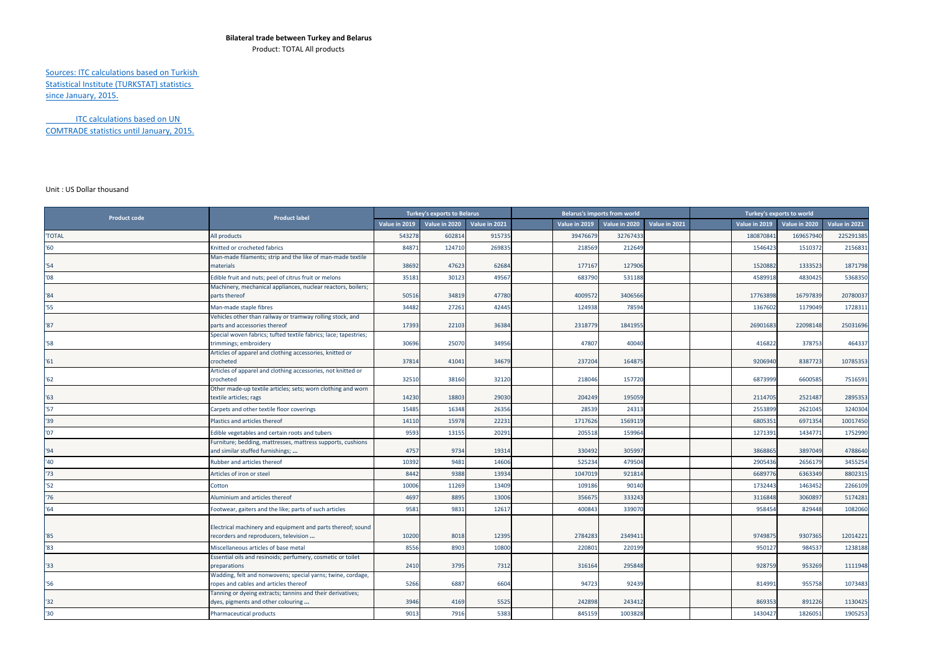## **Bilateral trade between Turkey and Belarus**

Product: TOTAL All products

## Sources: ITC calculations based on Turkish Statistical Institute (TURKSTAT) statistics since January, 2015.

ITC calculations based on UN COMTRADE statistics until January, 2015.

## Unit : US Dollar thousand

| <b>Product code</b> | <b>Product label</b>                                                                                 | <b>Turkey's exports to Belarus</b> |               |               | <b>Belarus's imports from world</b> |               |               |               | Turkey's exports to world |               |               |               |
|---------------------|------------------------------------------------------------------------------------------------------|------------------------------------|---------------|---------------|-------------------------------------|---------------|---------------|---------------|---------------------------|---------------|---------------|---------------|
|                     |                                                                                                      | Value in 2019                      | Value in 2020 | Value in 2021 |                                     | Value in 2019 | Value in 2020 | Value in 2021 |                           | Value in 2019 | Value in 2020 | Value in 2021 |
| <b>'TOTAL</b>       | All products                                                                                         | 543278                             | 60281         | 915735        |                                     | 3947667       | 3276743       |               |                           | 18087084      | 169657940     | 225291385     |
| '60                 | Knitted or crocheted fabrics                                                                         | 84871                              | 124710        | 26983         |                                     | 218569        | 212649        |               |                           | 1546423       | 1510372       | 2156831       |
| "54"                | Man-made filaments; strip and the like of man-made textile<br>materials                              | 38692                              | 47623         | 62684         |                                     | 177167        | 127906        |               |                           | 152088        | 1333523       | 1871798       |
| '08                 | Edible fruit and nuts; peel of citrus fruit or melons                                                | 35181                              | 30123         | 49567         |                                     | 683790        | 531188        |               |                           | 4589918       | 4830425       | 5368350       |
| '84                 | Machinery, mechanical appliances, nuclear reactors, boilers;<br>parts thereof                        | 50516                              | 34819         | 47780         |                                     | 4009572       | 3406566       |               |                           | 17763898      | 16797839      | 20780037      |
| '55                 | Man-made staple fibres                                                                               | 34482                              | 27261         | 42445         |                                     | 124938        | 78594         |               |                           | 1367602       | 1179049       | 1728311       |
| '87                 | Vehicles other than railway or tramway rolling stock, and<br>parts and accessories thereof           | 17393                              | 22103         | 36384         |                                     | 2318779       | 184195        |               |                           | 26901683      | 22098148      | 25031696      |
| '58                 | Special woven fabrics; tufted textile fabrics; lace; tapestries;<br>trimmings; embroidery            | 30696                              | 25070         | 34956         |                                     | 47807         | 40040         |               |                           | 416822        | 378753        | 464337        |
| 161                 | Articles of apparel and clothing accessories, knitted or<br>crocheted                                | 37814                              | 41041         | 34679         |                                     | 237204        | 164875        |               |                           | 9206940       | 8387723       | 10785353      |
| '62                 | Articles of apparel and clothing accessories, not knitted or<br>crocheted                            | 32510                              | 38160         | 32120         |                                     | 218046        | 15772         |               |                           | 6873999       | 6600585       | 7516591       |
| '63                 | Other made-up textile articles; sets; worn clothing and worn<br>textile articles; rags               | 14230                              | 18803         | 2903          |                                     | 204249        | 19505         |               |                           | 2114705       | 2521487       | 2895353       |
| 57                  | Carpets and other textile floor coverings                                                            | 15485                              | 16348         | 26356         |                                     | 28539         | 24313         |               |                           | 2553899       | 2621045       | 3240304       |
| '39                 | Plastics and articles thereof                                                                        | 14110                              | 15978         | 22231         |                                     | 1717626       | 1569119       |               |                           | 680535        | 6971354       | 10017450      |
| '07                 | Edible vegetables and certain roots and tubers                                                       | 9593                               | 13155         | 2029:         |                                     | 205518        | 159964        |               |                           | 127139        | 1434771       | 1752990       |
| '94                 | Furniture; bedding, mattresses, mattress supports, cushions<br>and similar stuffed furnishings;      | 4757                               | 9734          | 19314         |                                     | 330492        | 30599         |               |                           | 3868865       | 3897049       | 4788640       |
| '40                 | Rubber and articles thereof                                                                          | 10392                              | 9481          | 14606         |                                     | 525234        | 479504        |               |                           | 2905436       | 2656179       | 3455254       |
| '73                 | Articles of iron or steel                                                                            | 8442                               | 9388          | 13934         |                                     | 1047019       | 92181         |               |                           | 6689776       | 6363349       | 8802315       |
| '52                 | Cotton                                                                                               | 10006                              | 11269         | 13409         |                                     | 109186        | 90140         |               |                           | 1732443       | 1463452       | 2266109       |
| '76                 | Aluminium and articles thereof                                                                       | 4697                               | 8895          | 13006         |                                     | 35667         | 33324         |               |                           | 3116848       | 3060897       | 5174281       |
| '64                 | Footwear, gaiters and the like; parts of such articles                                               | 9581                               | 9831          | 12617         |                                     | 400843        | 33907         |               |                           | 958454        | 829448        | 1082060       |
| '85                 | Electrical machinery and equipment and parts thereof; sound<br>recorders and reproducers, television | 10200                              | 8018          | 12395         |                                     | 2784283       | 2349411       |               |                           | 9749875       | 9307365       | 12014221      |
| '83                 | Miscellaneous articles of base metal                                                                 | 8556                               | 8903          | 10800         |                                     | 220801        | 220199        |               |                           | 950127        | 984537        | 1238188       |
| '33                 | Essential oils and resinoids; perfumery, cosmetic or toilet<br>preparations                          | 2410                               | 3795          | 7312          |                                     | 316164        | 295848        |               |                           | 928759        | 953269        | 1111948       |
| '56                 | Wadding, felt and nonwovens; special yarns; twine, cordage,<br>ropes and cables and articles thereof | 5266                               | 6887          | 6604          |                                     | 94723         | 92439         |               |                           | 814991        | 955758        | 1073483       |
| '32'                | Tanning or dyeing extracts; tannins and their derivatives;<br>dyes, pigments and other colouring     | 3946                               | 4169          | 5525          |                                     | 242898        | 243412        |               |                           | 869353        | 891226        | 1130425       |
| '30                 | <b>Pharmaceutical products</b>                                                                       | 9013                               | 7916          | 5383          |                                     | 845159        | 1003828       |               |                           | 1430427       | 1826051       | 1905253       |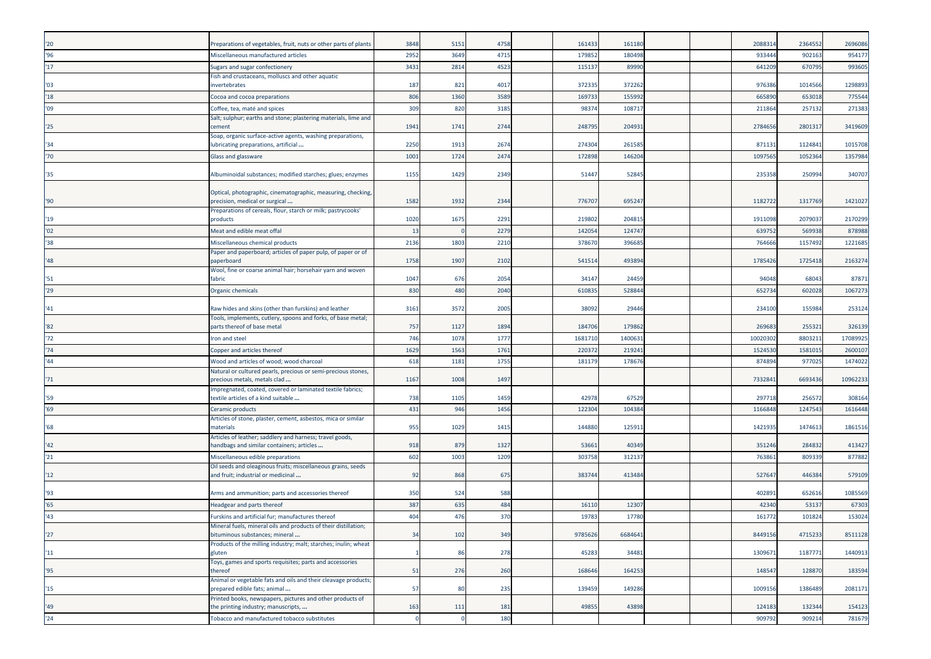| '20  | Preparations of vegetables, fruit, nuts or other parts of plants                                      | 3848 | 5151 | 4758 | 161433  | 161180  |  | 208831  | 2364552 | 2696086  |
|------|-------------------------------------------------------------------------------------------------------|------|------|------|---------|---------|--|---------|---------|----------|
| 96   | Miscellaneous manufactured articles                                                                   | 2952 | 3649 | 4715 | 179852  | 180498  |  | 93344   | 902163  | 954177   |
| 17   | Sugars and sugar confectionery                                                                        | 3431 | 2814 | 4523 | 115137  | 89990   |  | 641209  | 670795  | 993605   |
|      | Fish and crustaceans, molluscs and other aquatic                                                      |      |      |      |         |         |  |         |         |          |
| '03  | nvertebrates                                                                                          | 187  | 821  | 4017 | 372335  | 37226   |  | 97638   | 1014566 | 1298893  |
| '18  | Cocoa and cocoa preparations                                                                          | 806  | 1360 | 3589 | 169733  | 15599   |  | 66589   | 653018  | 775544   |
| '09  | Coffee, tea, maté and spices                                                                          | 309  | 820  | 3185 | 9837    | 10871   |  | 21186   | 257132  | 271383   |
| '25  | Salt; sulphur; earths and stone; plastering materials, lime and<br>cement                             | 1941 | 1741 | 2744 | 248795  | 20493   |  | 278465  | 280131  | 3419609  |
| '34  | Soap, organic surface-active agents, washing preparations,<br>lubricating preparations, artificial    | 2250 | 1913 | 2674 | 274304  | 26158   |  | 87113   | 1124841 | 1015708  |
| '70' | Glass and glassware                                                                                   | 1001 | 1724 | 2474 | 172898  | 14620   |  | 109756  | 105236  | 1357984  |
| '35  | Albuminoidal substances; modified starches; glues; enzymes                                            | 1155 | 1429 | 2349 | 51447   | 5284    |  | 235358  | 250994  | 340707   |
| '90  | Optical, photographic, cinematographic, measuring, checking,<br>precision, medical or surgical        | 1582 | 1932 | 2344 | 776707  | 69524   |  | 1182722 | 1317769 | 1421027  |
| '19  | Preparations of cereals, flour, starch or milk; pastrycooks'<br>products                              | 1020 | 1675 | 2291 | 219802  | 20481   |  | 191109  | 207903  | 2170299  |
| '02  | Meat and edible meat offal                                                                            | 13   |      | 2279 | 142054  | 12474   |  | 63975   | 569938  | 878988   |
| 38'  | Miscellaneous chemical products                                                                       | 2136 | 1803 | 2210 | 378670  | 39668   |  | 76466   | 1157492 | 1221685  |
| '48  | Paper and paperboard; articles of paper pulp, of paper or of<br>paperboard                            | 1758 | 1907 | 2102 | 541514  | 49389   |  | 178542  | 1725418 | 2163274  |
| '51  | Wool, fine or coarse animal hair; horsehair yarn and woven<br>fabric                                  | 1047 | 676  | 2054 | 34147   | 2445    |  | 94048   | 68043   | 87871    |
| '29  | Organic chemicals                                                                                     | 830  | 480  | 2040 | 61083   | 52884   |  | 652734  | 602028  | 1067273  |
|      |                                                                                                       |      |      |      |         |         |  |         |         |          |
| '41  | Raw hides and skins (other than furskins) and leather                                                 | 3161 | 3572 | 2005 | 38092   | 29446   |  | 23410   | 155984  | 253124   |
| '82  | Tools, implements, cutlery, spoons and forks, of base metal;<br>parts thereof of base metal           | 757  | 1127 | 1894 | 184706  | 17986   |  | 26968   | 255321  | 326139   |
| 72   | Iron and steel                                                                                        | 746  | 1078 | 1777 | 168171  | 140063  |  | 1002030 | 880321  | 17089925 |
| '74  | Copper and articles thereof                                                                           | 1629 | 1563 | 1761 | 22037   | 21924   |  | 1524530 | 1581015 | 2600107  |
| '44' | Wood and articles of wood; wood charcoal                                                              | 618  | 1181 | 1755 | 18117   | 17867   |  | 87489   | 97702   | 1474022  |
| '71  | Natural or cultured pearls, precious or semi-precious stones,<br>precious metals, metals clad         | 1167 | 1008 | 1497 |         |         |  | 733284  | 6693436 | 10962233 |
| '59  | mpregnated, coated, covered or laminated textile fabrics;<br>:extile articles of a kind suitable      | 738  | 1105 | 1459 | 42978   | 67529   |  | 29771   | 25657   | 308164   |
| '69  | Ceramic products                                                                                      | 431  | 946  | 1456 | 122304  | 104384  |  | 1166848 | 1247543 | 1616448  |
| '68  | Articles of stone, plaster, cement, asbestos, mica or similar<br>naterials                            | 955  | 1029 | 1415 | 144880  | 12591   |  | 142193  | 147461  | 1861516  |
| '42  | Articles of leather; saddlery and harness; travel goods,<br>handbags and similar containers; articles | 918  | 879  | 1327 | 53661   | 4034    |  | 351246  | 28483   | 413427   |
| '21  | Miscellaneous edible preparations                                                                     | 602  | 1003 | 1209 | 30375   | 31213   |  | 76386   | 80933   | 877882   |
| 12   | Oil seeds and oleaginous fruits; miscellaneous grains, seeds<br>and fruit; industrial or medicinal    | 92   | 868  | 675  | 383744  | 413484  |  | 52764   | 446384  | 579109   |
| '93  | Arms and ammunition; parts and accessories thereof                                                    | 350  | 524  | 588  |         |         |  | 40289   | 652616  | 1085569  |
| 55   | Headgear and parts thereof                                                                            | 387  | 635  | 484  | 16110   | 1230    |  | 4234    | 53137   | 67303    |
| 43'  | Furskins and artificial fur; manufactures thereof                                                     | 404  | 476  | 370  | 19783   | 17780   |  | 16177   | 101824  | 153024   |
| '27  | Mineral fuels, mineral oils and products of their distillation<br>bituminous substances; mineral      | 34   | 102  | 349  | 9785626 | 6684641 |  | 8449156 | 4715233 | 8511128  |
| "11" | Products of the milling industry; malt; starches; inulin; wheat<br>gluten                             |      | 86   | 278  | 45283   | 34481   |  | 1309671 | 1187771 | 1440913  |
| '95  | Toys, games and sports requisites; parts and accessories<br>thereof                                   | 51   | 276  | 260  | 168646  | 164253  |  | 148547  | 128870  | 183594   |
| 15   | Animal or vegetable fats and oils and their cleavage products;<br>prepared edible fats; animal        | 57   | 80   | 235  | 139459  | 149286  |  | 1009156 | 1386489 | 2081171  |
|      | Printed books, newspapers, pictures and other products of                                             |      |      |      |         |         |  |         |         |          |
| '49  | the printing industry; manuscripts,                                                                   | 163  | 111  | 181  | 49855   | 43898   |  | 124183  | 132344  | 154123   |
| '24  | Tobacco and manufactured tobacco substitutes                                                          |      |      | 180  |         |         |  | 909792  | 909214  | 781679   |